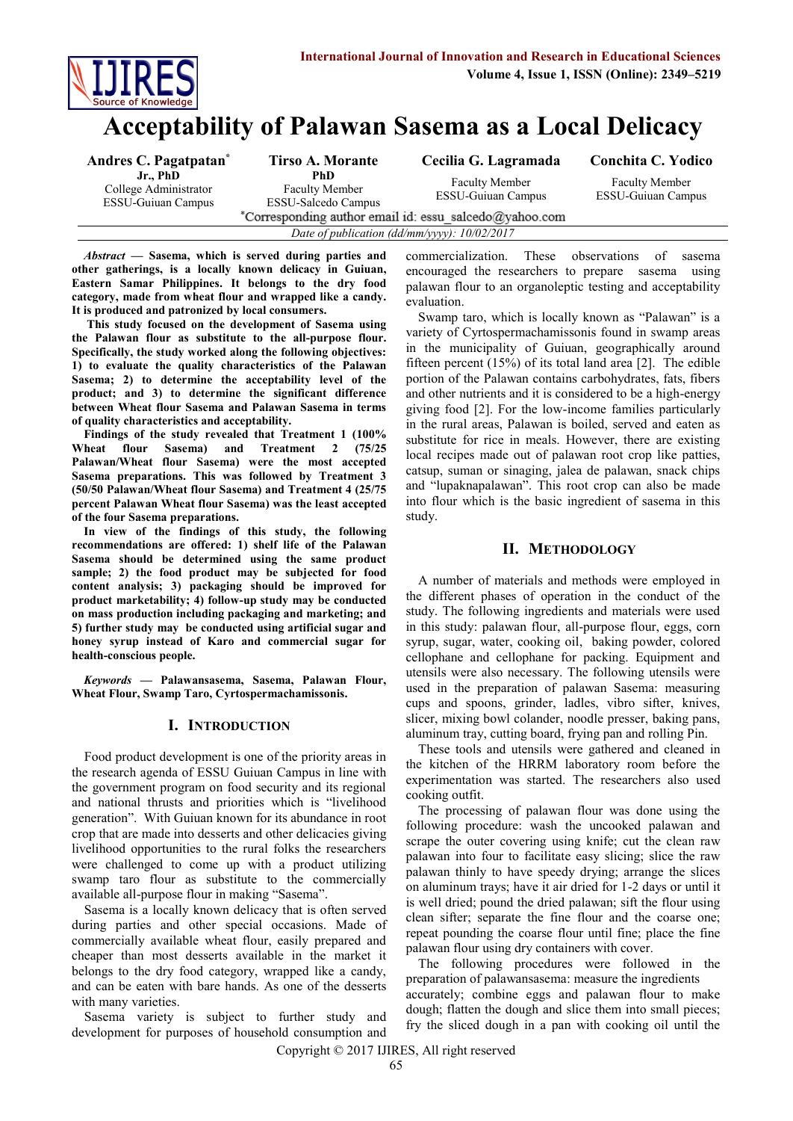

# **Acceptability of Palawan Sasema as a Local Delicacy**

| Andres C. Pagatpatan <sup>*</sup>                              | Tirso A. Morante                                           | Cecilia G. Lagramada                               | Conchita C. Yodico                                 |  |  |  |
|----------------------------------------------------------------|------------------------------------------------------------|----------------------------------------------------|----------------------------------------------------|--|--|--|
| Jr., PhD<br>College Administrator<br><b>ESSU-Guiuan Campus</b> | PhD<br><b>Faculty Member</b><br><b>ESSU-Salcedo Campus</b> | <b>Faculty Member</b><br><b>ESSU-Guiuan Campus</b> | <b>Faculty Member</b><br><b>ESSU-Guiuan Campus</b> |  |  |  |
| *Corresponding author email id: essu salcedo@yahoo.com         |                                                            |                                                    |                                                    |  |  |  |
| Date of publication (dd/mm/yyyy): 10/02/2017                   |                                                            |                                                    |                                                    |  |  |  |

*Abstract* **— Sasema, which is served during parties and other gatherings, is a locally known delicacy in Guiuan, Eastern Samar Philippines. It belongs to the dry food category, made from wheat flour and wrapped like a candy. It is produced and patronized by local consumers.**

**This study focused on the development of Sasema using the Palawan flour as substitute to the all-purpose flour. Specifically, the study worked along the following objectives: 1) to evaluate the quality characteristics of the Palawan Sasema; 2) to determine the acceptability level of the product; and 3) to determine the significant difference between Wheat flour Sasema and Palawan Sasema in terms of quality characteristics and acceptability.**

**Findings of the study revealed that Treatment 1 (100% Wheat flour Sasema) and Treatment 2 (75/25 Palawan/Wheat flour Sasema) were the most accepted Sasema preparations. This was followed by Treatment 3 (50/50 Palawan/Wheat flour Sasema) and Treatment 4 (25/75 percent Palawan Wheat flour Sasema) was the least accepted of the four Sasema preparations.**

**In view of the findings of this study, the following recommendations are offered: 1) shelf life of the Palawan Sasema should be determined using the same product sample; 2) the food product may be subjected for food content analysis; 3) packaging should be improved for product marketability; 4) follow-up study may be conducted on mass production including packaging and marketing; and 5) further study may be conducted using artificial sugar and honey syrup instead of Karo and commercial sugar for health-conscious people.**

*Keywords* **— Palawansasema, Sasema, Palawan Flour, Wheat Flour, Swamp Taro, Cyrtospermachamissonis.**

#### **I. INTRODUCTION**

Food product development is one of the priority areas in the research agenda of ESSU Guiuan Campus in line with the government program on food security and its regional and national thrusts and priorities which is "livelihood generation". With Guiuan known for its abundance in root crop that are made into desserts and other delicacies giving livelihood opportunities to the rural folks the researchers were challenged to come up with a product utilizing swamp taro flour as substitute to the commercially available all-purpose flour in making "Sasema".

Sasema is a locally known delicacy that is often served during parties and other special occasions. Made of commercially available wheat flour, easily prepared and cheaper than most desserts available in the market it belongs to the dry food category, wrapped like a candy, and can be eaten with bare hands. As one of the desserts with many varieties.

Sasema variety is subject to further study and development for purposes of household consumption and

commercialization. These observations of sasema encouraged the researchers to prepare sasema using palawan flour to an organoleptic testing and acceptability evaluation.

Swamp taro, which is locally known as "Palawan" is a variety of Cyrtospermachamissonis found in swamp areas in the municipality of Guiuan, geographically around fifteen percent (15%) of its total land area [2]. The edible portion of the Palawan contains carbohydrates, fats, fibers and other nutrients and it is considered to be a high-energy giving food [2]. For the low-income families particularly in the rural areas, Palawan is boiled, served and eaten as substitute for rice in meals. However, there are existing local recipes made out of palawan root crop like patties, catsup, suman or sinaging, jalea de palawan, snack chips and "lupaknapalawan". This root crop can also be made into flour which is the basic ingredient of sasema in this study.

## **II. METHODOLOGY**

A number of materials and methods were employed in the different phases of operation in the conduct of the study. The following ingredients and materials were used in this study: palawan flour, all-purpose flour, eggs, corn syrup, sugar, water, cooking oil, baking powder, colored cellophane and cellophane for packing. Equipment and utensils were also necessary. The following utensils were used in the preparation of palawan Sasema: measuring cups and spoons, grinder, ladles, vibro sifter, knives, slicer, mixing bowl colander, noodle presser, baking pans, aluminum tray, cutting board, frying pan and rolling Pin.

These tools and utensils were gathered and cleaned in the kitchen of the HRRM laboratory room before the experimentation was started. The researchers also used cooking outfit.

The processing of palawan flour was done using the following procedure: wash the uncooked palawan and scrape the outer covering using knife; cut the clean raw palawan into four to facilitate easy slicing; slice the raw palawan thinly to have speedy drying; arrange the slices on aluminum trays; have it air dried for 1-2 days or until it is well dried; pound the dried palawan; sift the flour using clean sifter; separate the fine flour and the coarse one; repeat pounding the coarse flour until fine; place the fine palawan flour using dry containers with cover.

The following procedures were followed in the preparation of palawansasema: measure the ingredients accurately; combine eggs and palawan flour to make dough; flatten the dough and slice them into small pieces; fry the sliced dough in a pan with cooking oil until the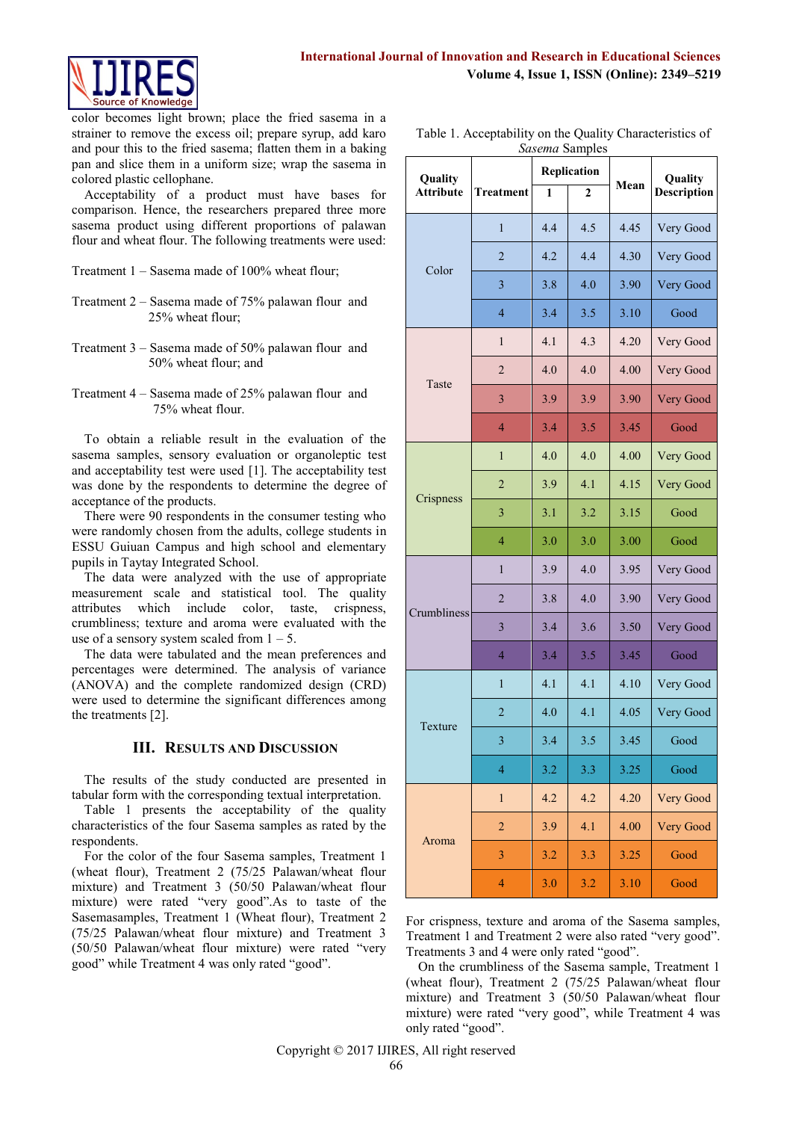

color becomes light brown; place the fried sasema in a strainer to remove the excess oil; prepare syrup, add karo and pour this to the fried sasema; flatten them in a baking pan and slice them in a uniform size; wrap the sasema in colored plastic cellophane.

Acceptability of a product must have bases for comparison. Hence, the researchers prepared three more sasema product using different proportions of palawan flour and wheat flour. The following treatments were used:

- Treatment 1 Sasema made of 100% wheat flour;
- Treatment 2 Sasema made of 75% palawan flour and 25% wheat flour;
- Treatment 3 Sasema made of 50% palawan flour and 50% wheat flour; and
- Treatment 4 Sasema made of 25% palawan flour and 75% wheat flour.

To obtain a reliable result in the evaluation of the sasema samples, sensory evaluation or organoleptic test and acceptability test were used [1]. The acceptability test was done by the respondents to determine the degree of acceptance of the products.

There were 90 respondents in the consumer testing who were randomly chosen from the adults, college students in ESSU Guiuan Campus and high school and elementary pupils in Taytay Integrated School.

The data were analyzed with the use of appropriate measurement scale and statistical tool. The quality attributes which include color, taste, crispness, crumbliness; texture and aroma were evaluated with the use of a sensory system scaled from  $1 - 5$ .

The data were tabulated and the mean preferences and percentages were determined. The analysis of variance (ANOVA) and the complete randomized design (CRD) were used to determine the significant differences among the treatments [2].

## **III. RESULTS AND DISCUSSION**

The results of the study conducted are presented in tabular form with the corresponding textual interpretation.

Table 1 presents the acceptability of the quality characteristics of the four Sasema samples as rated by the respondents.

For the color of the four Sasema samples, Treatment 1 (wheat flour), Treatment 2 (75/25 Palawan/wheat flour mixture) and Treatment 3 (50/50 Palawan/wheat flour mixture) were rated "very good".As to taste of the Sasemasamples, Treatment 1 (Wheat flour), Treatment 2 (75/25 Palawan/wheat flour mixture) and Treatment 3 (50/50 Palawan/wheat flour mixture) were rated "very good" while Treatment 4 was only rated "good".

| Table 1. Acceptability on the Quality Characteristics of |
|----------------------------------------------------------|
| <i>Sasema</i> Samples                                    |

| Quality          |                  |     | $v$ umpro<br>Replication |      | Quality     |
|------------------|------------------|-----|--------------------------|------|-------------|
| <b>Attribute</b> | <b>Treatment</b> | 1   | 2                        | Mean | Description |
|                  | 1                | 4.4 | 4.5                      | 4.45 | Very Good   |
|                  | $\overline{2}$   | 4.2 | 4.4                      | 4.30 | Very Good   |
| Color            | 3                | 3.8 | 4.0                      | 3.90 | Very Good   |
|                  | $\overline{4}$   | 3.4 | 3.5                      | 3.10 | Good        |
|                  | $\mathbf{1}$     | 4.1 | 4.3                      | 4.20 | Very Good   |
| Taste            | $\overline{2}$   | 4.0 | 4.0                      | 4.00 | Very Good   |
|                  | 3                | 3.9 | 3.9                      | 3.90 | Very Good   |
|                  | $\overline{4}$   | 3.4 | 3.5                      | 3.45 | Good        |
|                  | $\mathbf{1}$     | 4.0 | 4.0                      | 4.00 | Very Good   |
|                  | $\overline{2}$   | 3.9 | 4.1                      | 4.15 | Very Good   |
| Crispness        | 3                | 3.1 | 3.2                      | 3.15 | Good        |
|                  | 4                | 3.0 | 3.0                      | 3.00 | Good        |
|                  | $\mathbf{1}$     | 3.9 | 4.0                      | 3.95 | Very Good   |
|                  | $\overline{c}$   | 3.8 | 4.0                      | 3.90 | Very Good   |
| Crumbliness      | 3                | 3.4 | 3.6                      | 3.50 | Very Good   |
|                  | $\overline{4}$   | 3.4 | 3.5                      | 3.45 | Good        |
|                  | 1                | 4.1 | 4.1                      | 4.10 | Very Good   |
|                  | $\overline{2}$   | 4.0 | 4.1                      | 4.05 | Very Good   |
| Texture          | 3                | 3.4 | 3.5                      | 3.45 | Good        |
|                  | $\overline{4}$   | 3.2 | 3.3                      | 3.25 | Good        |
|                  | $\mathbf{1}$     | 4.2 | 4.2                      | 4.20 | Very Good   |
|                  | $\overline{c}$   | 3.9 | 4.1                      | 4.00 | Very Good   |
| Aroma            | 3                | 3.2 | 3.3                      | 3.25 | Good        |
|                  | $\overline{4}$   | 3.0 | 3.2                      | 3.10 | Good        |

For crispness, texture and aroma of the Sasema samples, Treatment 1 and Treatment 2 were also rated "very good". Treatments 3 and 4 were only rated "good".

On the crumbliness of the Sasema sample, Treatment 1 (wheat flour), Treatment 2 (75/25 Palawan/wheat flour mixture) and Treatment 3 (50/50 Palawan/wheat flour mixture) were rated "very good", while Treatment 4 was only rated "good".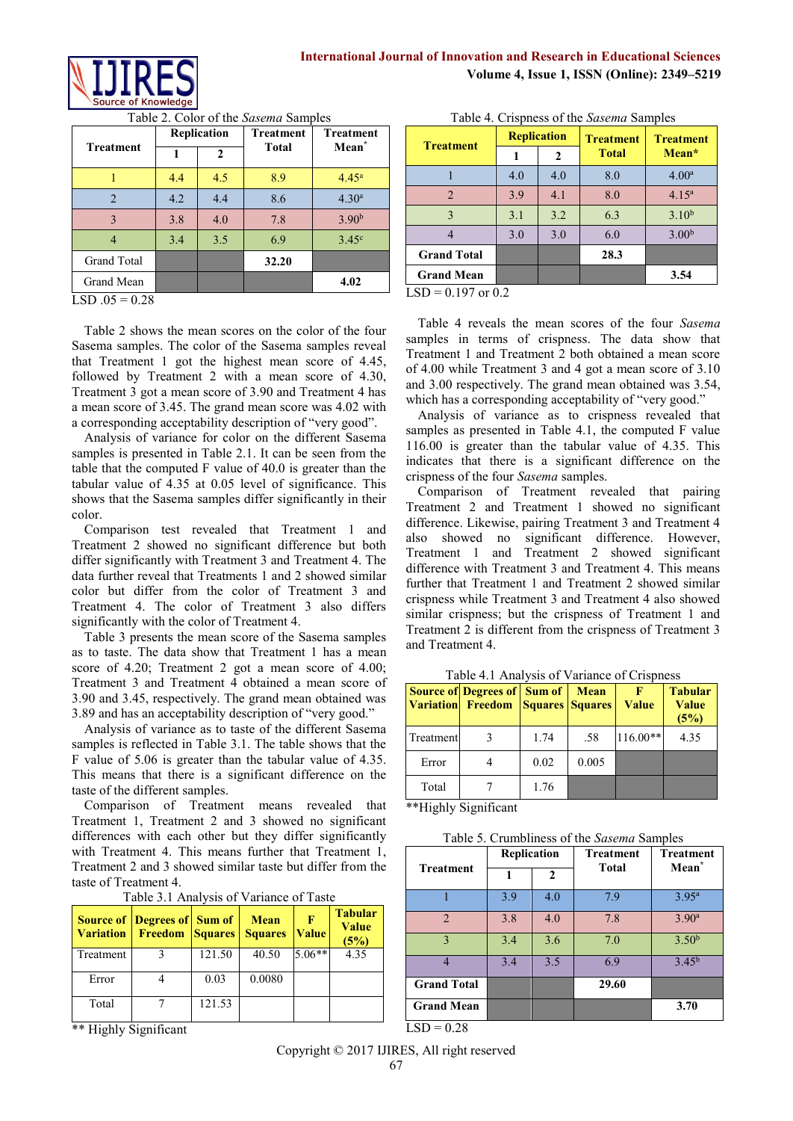

| Replication |              | <b>Treatment</b> | <b>Treatment</b>  |
|-------------|--------------|------------------|-------------------|
|             | $\mathbf{2}$ |                  | Mean <sup>*</sup> |
| 4.4         | 4.5          | 8.9              | 4.45 <sup>a</sup> |
| 4.2         | 4.4          | 8.6              | 4.30 <sup>a</sup> |
| 3.8         | 4.0          | 7.8              | 3.90 <sup>b</sup> |
| 3.4         | 3.5          | 6.9              | 3.45 <sup>c</sup> |
|             |              | 32.20            |                   |
|             |              |                  | 4.02              |
|             |              |                  | <b>Total</b>      |

Table 2. Color of the *Sasema* Samples

 $LSD .05 = 0.28$ 

Table 2 shows the mean scores on the color of the four Sasema samples. The color of the Sasema samples reveal that Treatment 1 got the highest mean score of 4.45, followed by Treatment 2 with a mean score of 4.30, Treatment 3 got a mean score of 3.90 and Treatment 4 has a mean score of 3.45. The grand mean score was 4.02 with a corresponding acceptability description of "very good".

Analysis of variance for color on the different Sasema samples is presented in Table 2.1. It can be seen from the table that the computed F value of 40.0 is greater than the tabular value of 4.35 at 0.05 level of significance. This shows that the Sasema samples differ significantly in their color.

Comparison test revealed that Treatment 1 and Treatment 2 showed no significant difference but both differ significantly with Treatment 3 and Treatment 4. The data further reveal that Treatments 1 and 2 showed similar color but differ from the color of Treatment 3 and Treatment 4. The color of Treatment 3 also differs significantly with the color of Treatment 4.

Table 3 presents the mean score of the Sasema samples as to taste. The data show that Treatment 1 has a mean score of 4.20; Treatment 2 got a mean score of 4.00; Treatment 3 and Treatment 4 obtained a mean score of 3.90 and 3.45, respectively. The grand mean obtained was 3.89 and has an acceptability description of "very good."

Analysis of variance as to taste of the different Sasema samples is reflected in Table 3.1. The table shows that the F value of 5.06 is greater than the tabular value of 4.35. This means that there is a significant difference on the taste of the different samples.

Comparison of Treatment means revealed that Treatment 1, Treatment 2 and 3 showed no significant differences with each other but they differ significantly with Treatment 4. This means further that Treatment 1, Treatment 2 and 3 showed similar taste but differ from the taste of Treatment 4.

| Table 3.1 Analysis of Variance of Taste |  |
|-----------------------------------------|--|
|-----------------------------------------|--|

|           | <b>Source of   Degrees of   Sum of</b><br><b>Variation</b> Freedom Squares |        | <b>Mean</b><br><b>Squares</b> | F<br><b>Value</b> | <b>Tabular</b><br><b>Value</b><br>(5%) |
|-----------|----------------------------------------------------------------------------|--------|-------------------------------|-------------------|----------------------------------------|
| Treatment |                                                                            | 121.50 | 40.50                         | $5.06**$          | 4.35                                   |
| Error     |                                                                            | 0.03   | 0.0080                        |                   |                                        |
| Total     |                                                                            | 121.53 |                               |                   |                                        |

\*\* Highly Significant

| rapic +. Crispiless of the <i>susema</i> samples |                    |     |                  |                   |  |  |
|--------------------------------------------------|--------------------|-----|------------------|-------------------|--|--|
| <b>Treatment</b>                                 | <b>Replication</b> |     | <b>Treatment</b> | <b>Treatment</b>  |  |  |
|                                                  |                    | 2   | <b>Total</b>     | Mean*             |  |  |
|                                                  | 4.0                | 4.0 | 8.0              | $4.00^{\rm a}$    |  |  |
| $\overline{2}$                                   | 3.9                | 4.1 | 8.0              | $4.15^{\rm a}$    |  |  |
| 3                                                | 3.1                | 3.2 | 6.3              | $3.10^{b}$        |  |  |
|                                                  | 3.0                | 3.0 | 6.0              | 3.00 <sup>b</sup> |  |  |
| <b>Grand Total</b>                               |                    |     | 28.3             |                   |  |  |
| <b>Grand Mean</b>                                |                    |     |                  | 3.54              |  |  |

Table 4. Crispness of the *Sasema* Samples

 $LSD = 0.197$  or 0.2

Table 4 reveals the mean scores of the four *Sasema*  samples in terms of crispness. The data show that Treatment 1 and Treatment 2 both obtained a mean score of 4.00 while Treatment 3 and 4 got a mean score of 3.10 and 3.00 respectively. The grand mean obtained was 3.54, which has a corresponding acceptability of "very good."

Analysis of variance as to crispness revealed that samples as presented in Table 4.1, the computed F value 116.00 is greater than the tabular value of 4.35. This indicates that there is a significant difference on the crispness of the four *Sasema* samples.

Comparison of Treatment revealed that pairing Treatment 2 and Treatment 1 showed no significant difference. Likewise, pairing Treatment 3 and Treatment 4 also showed no significant difference. However, Treatment 1 and Treatment 2 showed significant difference with Treatment 3 and Treatment 4. This means further that Treatment 1 and Treatment 2 showed similar crispness while Treatment 3 and Treatment 4 also showed similar crispness; but the crispness of Treatment 1 and Treatment 2 is different from the crispness of Treatment 3 and Treatment 4.

|           | <b>Source of Degrees of Sum of</b><br><b>Variation</b> Freedom Squares Squares |      | <b>Mean</b> | Value      | <b>Tabular</b><br><b>Value</b><br>(5%) |
|-----------|--------------------------------------------------------------------------------|------|-------------|------------|----------------------------------------|
| Treatment |                                                                                | 1.74 | .58         | $116.00**$ | 4.35                                   |
| Error     |                                                                                | 0.02 | 0.005       |            |                                        |
| Total     |                                                                                | 1.76 |             |            |                                        |

Table 4.1 Analysis of Variance of Crispness

\*\*Highly Significant

| Table 5. Crumbliness of the Sasema Samples |  |  |
|--------------------------------------------|--|--|
|                                            |  |  |

|                    | Replication |              | <b>Treatment</b> | <b>Treatment</b>  |  |
|--------------------|-------------|--------------|------------------|-------------------|--|
| <b>Treatment</b>   | 1           | $\mathbf{2}$ | <b>Total</b>     | Mean <sup>*</sup> |  |
|                    | 3.9         | 4.0          | 7.9              | $3.95^{a}$        |  |
| $\overline{2}$     | 3.8         | 4.0          | 7.8              | $3.90^{a}$        |  |
| 3                  | 3.4         | 3.6          | 7.0              | 3.50 <sup>b</sup> |  |
|                    | 3.4         | 3.5          | 6.9              | $3.45^{b}$        |  |
| <b>Grand Total</b> |             |              | 29.60            |                   |  |
| <b>Grand Mean</b>  |             |              |                  | 3.70              |  |

 $LSD = 0.28$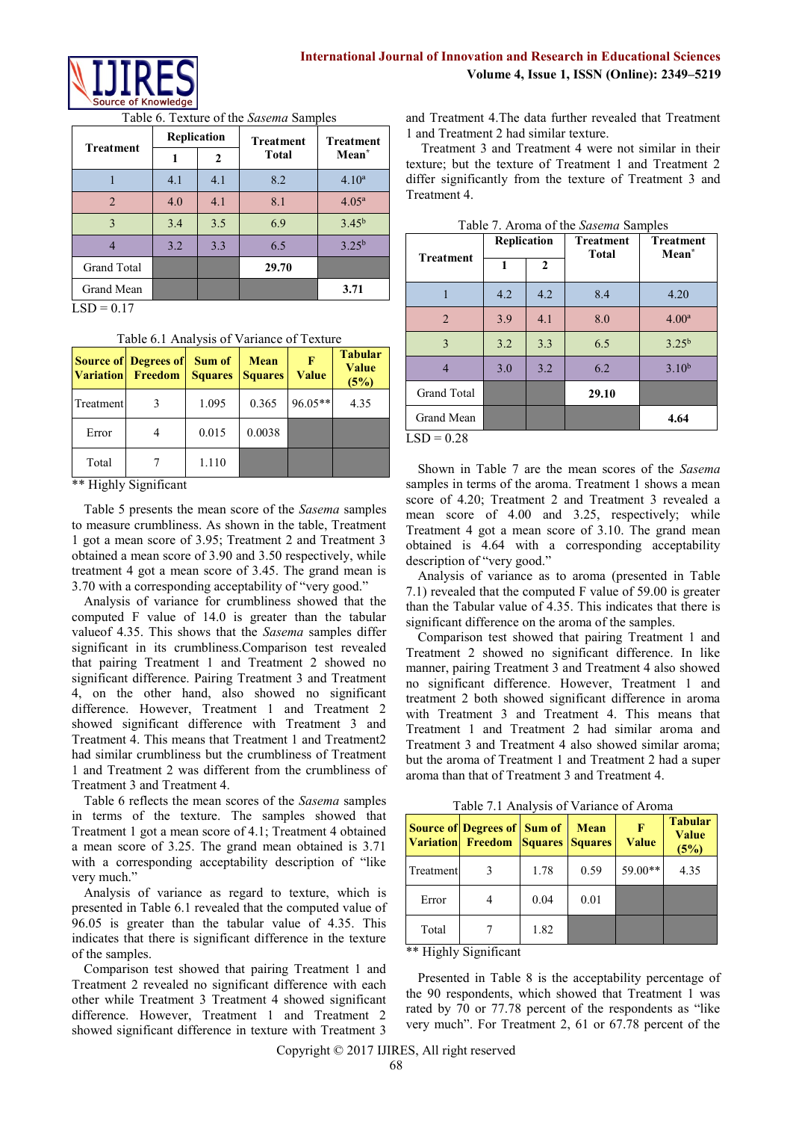

| <b>Treatment</b> | Replication |     | <b>Treatment</b> | <b>Treatment</b>  |
|------------------|-------------|-----|------------------|-------------------|
|                  | 1           | 2   | <b>Total</b>     | Mean <sup>*</sup> |
|                  | 4.1         | 4.1 | 8.2              | $4.10^{a}$        |
| $\overline{2}$   | 4.0         | 4.1 | 8.1              | $4.05^{\rm a}$    |
| $\mathbf{3}$     | 3.4         | 3.5 | 6.9              | $3.45^{b}$        |
|                  | 3.2         | 3.3 | 6.5              | $3.25^{b}$        |
| Grand Total      |             |     | 29.70            |                   |
| Grand Mean       |             |     |                  | 3.71              |

#### Table 6. Texture of the *Sasema* Samples

 $LSD = 0.17$ 

Table 6.1 Analysis of Variance of Texture

|           | <b>Source of Degrees of</b><br><b>Variation</b> Freedom | Sum of<br><b>Squares</b> | <b>Mean</b><br><b>Squares</b> | F<br>Value | <b>Tabular</b><br><b>Value</b><br>(5%) |
|-----------|---------------------------------------------------------|--------------------------|-------------------------------|------------|----------------------------------------|
| Treatment |                                                         | 1.095                    | 0.365                         | 96.05**    | 4.35                                   |
| Error     |                                                         | 0.015                    | 0.0038                        |            |                                        |
| Total     |                                                         | 1.110                    |                               |            |                                        |

\*\* Highly Significant

Table 5 presents the mean score of the *Sasema* samples to measure crumbliness. As shown in the table, Treatment 1 got a mean score of 3.95; Treatment 2 and Treatment 3 obtained a mean score of 3.90 and 3.50 respectively, while treatment 4 got a mean score of 3.45. The grand mean is 3.70 with a corresponding acceptability of "very good."

Analysis of variance for crumbliness showed that the computed F value of 14.0 is greater than the tabular valueof 4.35. This shows that the *Sasema* samples differ significant in its crumbliness.Comparison test revealed that pairing Treatment 1 and Treatment 2 showed no significant difference. Pairing Treatment 3 and Treatment 4, on the other hand, also showed no significant difference. However, Treatment 1 and Treatment 2 showed significant difference with Treatment 3 and Treatment 4. This means that Treatment 1 and Treatment2 had similar crumbliness but the crumbliness of Treatment 1 and Treatment 2 was different from the crumbliness of Treatment 3 and Treatment 4.

Table 6 reflects the mean scores of the *Sasema* samples in terms of the texture. The samples showed that Treatment 1 got a mean score of 4.1; Treatment 4 obtained a mean score of 3.25. The grand mean obtained is 3.71 with a corresponding acceptability description of "like very much."

Analysis of variance as regard to texture, which is presented in Table 6.1 revealed that the computed value of 96.05 is greater than the tabular value of 4.35. This indicates that there is significant difference in the texture of the samples.

Comparison test showed that pairing Treatment 1 and Treatment 2 revealed no significant difference with each other while Treatment 3 Treatment 4 showed significant difference. However, Treatment 1 and Treatment 2 showed significant difference in texture with Treatment 3 and Treatment 4.The data further revealed that Treatment 1 and Treatment 2 had similar texture.

Treatment 3 and Treatment 4 were not similar in their texture; but the texture of Treatment 1 and Treatment 2 differ significantly from the texture of Treatment 3 and Treatment 4.

|                    | Replication |              | <b>Treatment</b><br><b>Total</b> | <b>Treatment</b><br>Mean <sup>*</sup> |  |
|--------------------|-------------|--------------|----------------------------------|---------------------------------------|--|
| <b>Treatment</b>   | 1           | $\mathbf{2}$ |                                  |                                       |  |
|                    | 4.2         | 4.2          | 8.4                              | 4.20                                  |  |
| $\overline{2}$     | 3.9         | 4.1          | 8.0                              | 4.00 <sup>a</sup>                     |  |
| 3                  | 3.2         | 3.3          | 6.5                              | $3.25^{b}$                            |  |
| 4                  | 3.0         | 3.2          | 6.2                              | $3.10^{b}$                            |  |
| <b>Grand Total</b> |             |              | 29.10                            |                                       |  |
| Grand Mean         |             |              |                                  | 4.64                                  |  |
| $LSD = 0.28$       |             |              |                                  |                                       |  |

Table 7. Aroma of the *Sasema* Samples

Shown in Table 7 are the mean scores of the *Sasema*  samples in terms of the aroma. Treatment 1 shows a mean score of 4.20; Treatment 2 and Treatment 3 revealed a mean score of 4.00 and 3.25, respectively; while Treatment 4 got a mean score of 3.10. The grand mean obtained is 4.64 with a corresponding acceptability description of "very good."

Analysis of variance as to aroma (presented in Table 7.1) revealed that the computed F value of 59.00 is greater than the Tabular value of 4.35. This indicates that there is significant difference on the aroma of the samples.

Comparison test showed that pairing Treatment 1 and Treatment 2 showed no significant difference. In like manner, pairing Treatment 3 and Treatment 4 also showed no significant difference. However, Treatment 1 and treatment 2 both showed significant difference in aroma with Treatment 3 and Treatment 4. This means that Treatment 1 and Treatment 2 had similar aroma and Treatment 3 and Treatment 4 also showed similar aroma; but the aroma of Treatment 1 and Treatment 2 had a super aroma than that of Treatment 3 and Treatment 4.

Table 7.1 Analysis of Variance of Aroma

|           | <b>Source of Degrees of Sum of</b><br><b>Variation</b> Freedom Squares Squares |      | <b>Mean</b> | F<br>Value | <b>Tabular</b><br>Value<br>(5%) |
|-----------|--------------------------------------------------------------------------------|------|-------------|------------|---------------------------------|
| Treatment |                                                                                | 1.78 | 0.59        | 59.00**    | 4.35                            |
| Error     |                                                                                | 0.04 | 0.01        |            |                                 |
| Total     |                                                                                | 1.82 |             |            |                                 |

\*\* Highly Significant

Presented in Table 8 is the acceptability percentage of the 90 respondents, which showed that Treatment 1 was rated by 70 or 77.78 percent of the respondents as "like very much". For Treatment 2, 61 or 67.78 percent of the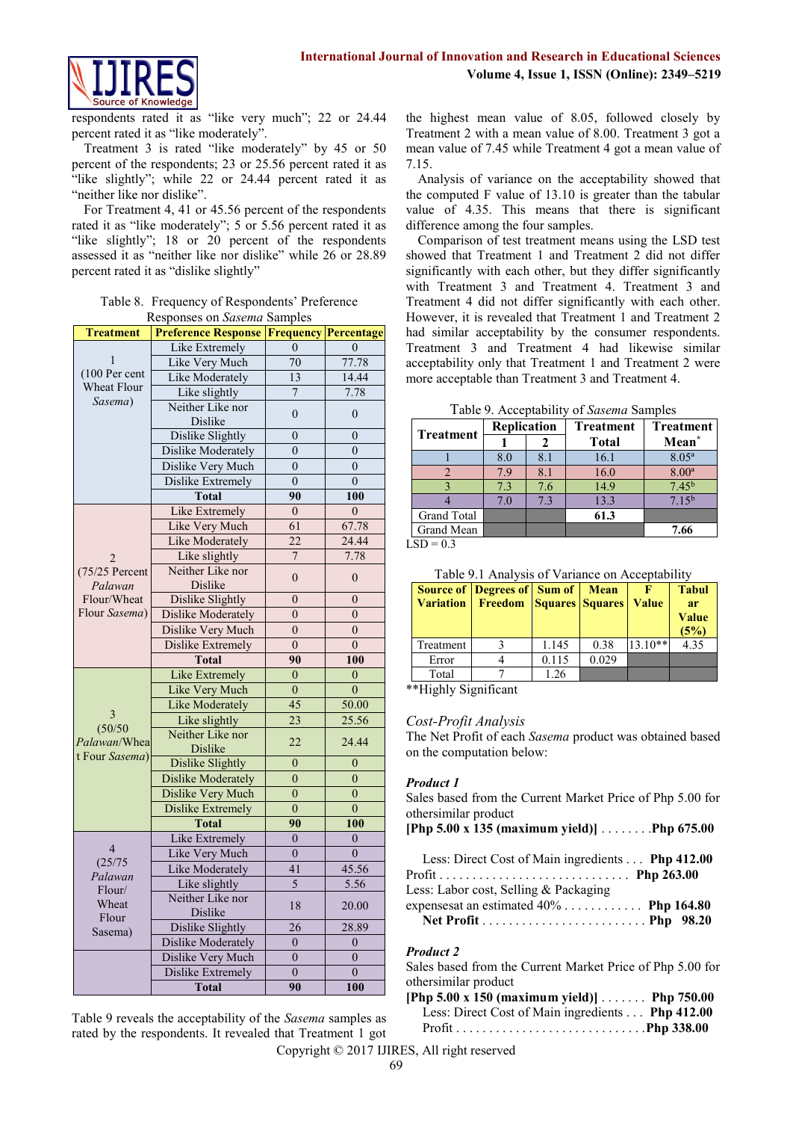

respondents rated it as "like very much"; 22 or 24.44 percent rated it as "like moderately".

Treatment 3 is rated "like moderately" by 45 or 50 percent of the respondents; 23 or 25.56 percent rated it as "like slightly"; while 22 or 24.44 percent rated it as "neither like nor dislike".

For Treatment 4, 41 or 45.56 percent of the respondents rated it as "like moderately"; 5 or 5.56 percent rated it as "like slightly"; 18 or 20 percent of the respondents assessed it as "neither like nor dislike" while 26 or 28.89 percent rated it as "dislike slightly"

| <b>Treatment</b>            | Responses on <i>Sasema</i> Samples<br><b>Preference Response Frequency Percentage</b> |                      |                       |
|-----------------------------|---------------------------------------------------------------------------------------|----------------------|-----------------------|
|                             | Like Extremely                                                                        | $\theta$             | $\theta$              |
| 1                           | Like Very Much                                                                        | 70                   | 77.78                 |
| (100 Per cent               | Like Moderately                                                                       | 13                   | 14.44                 |
| Wheat Flour                 |                                                                                       |                      |                       |
| Sasema)                     | Like slightly<br>Neither Like nor                                                     | 7                    | 7.78                  |
|                             | Dislike                                                                               | $\overline{0}$       | $\mathbf{0}$          |
|                             | Dislike Slightly                                                                      | $\overline{0}$       | $\boldsymbol{0}$      |
|                             | <b>Dislike Moderately</b>                                                             | $\theta$             | $\overline{0}$        |
|                             | Dislike Very Much                                                                     | $\overline{0}$       | $\overline{0}$        |
|                             | <b>Dislike Extremely</b>                                                              | $\boldsymbol{0}$     | $\boldsymbol{0}$      |
|                             | <b>Total</b>                                                                          | 90                   | 100                   |
|                             | Like Extremely                                                                        | $\mathbf{0}$         | $\mathbf{0}$          |
|                             | Like Very Much                                                                        | 61                   | 67.78                 |
|                             | <b>Like Moderately</b>                                                                | 22                   | 24.44                 |
| $\overline{2}$              | Like slightly                                                                         | $\overline{7}$       | 7.78                  |
| $(75/25$ Percent<br>Palawan | Neither Like nor<br><b>Dislike</b>                                                    | $\boldsymbol{0}$     | $\boldsymbol{0}$      |
| Flour/Wheat                 | Dislike Slightly                                                                      | $\overline{0}$       | $\boldsymbol{0}$      |
| Flour Sasema)               | <b>Dislike Moderately</b>                                                             | $\overline{0}$       | $\overline{0}$        |
|                             | Dislike Very Much                                                                     | $\overline{0}$       | $\overline{0}$        |
|                             | Dislike Extremely                                                                     | $\theta$             | $\theta$              |
|                             | <b>Total</b>                                                                          | 90                   | 100                   |
|                             | Like Extremely                                                                        | $\overline{0}$       | $\overline{0}$        |
|                             | <b>Like Very Much</b>                                                                 | $\overline{0}$       | $\mathbf{0}$          |
|                             | <b>Like Moderately</b>                                                                | 45                   | 50.00                 |
| 3                           | Like slightly                                                                         | 23                   | 25.56                 |
| (50/50)<br>Palawan/Whea     | Neither Like nor                                                                      |                      | 24.44                 |
|                             |                                                                                       | 22                   |                       |
| t Four Sasema)              | Dislike                                                                               | $\overline{0}$       | $\overline{0}$        |
|                             | Dislike Slightly                                                                      | $\overline{0}$       | $\overline{0}$        |
|                             | <b>Dislike Moderately</b>                                                             |                      |                       |
|                             | Dislike Very Much                                                                     | $\overline{0}$       | $\overline{0}$        |
|                             | <b>Dislike Extremely</b>                                                              | $\boldsymbol{0}$     | $\boldsymbol{0}$      |
|                             | <b>Total</b>                                                                          | 90<br>$\theta$       | 100                   |
| $\overline{4}$              | Like Extremely                                                                        |                      | $\overline{0}$        |
| (25/75)                     | Like Very Much                                                                        | $\theta$             | $\theta$              |
| Palawan                     | Like Moderately                                                                       | 41                   | 45.56                 |
| Flour/                      | Like slightly                                                                         | 5                    | 5.56                  |
| Wheat<br>Flour              | Neither Like nor<br>Dislike                                                           | 18                   | 20.00                 |
| Sasema)                     | Dislike Slightly                                                                      | 26                   | 28.89                 |
|                             | <b>Dislike Moderately</b>                                                             | $\overline{0}$       | $\overline{0}$        |
|                             | Dislike Very Much                                                                     | $\overline{0}$       | $\overline{0}$        |
|                             | Dislike Extremely<br><b>Total</b>                                                     | $\overline{0}$<br>90 | $\overline{0}$<br>100 |

#### Table 8. Frequency of Respondents' Preference Responses on *Sasema* Samples

Table 9 reveals the acceptability of the *Sasema* samples as rated by the respondents. It revealed that Treatment 1 got the highest mean value of 8.05, followed closely by Treatment 2 with a mean value of 8.00. Treatment 3 got a mean value of 7.45 while Treatment 4 got a mean value of 7.15.

Analysis of variance on the acceptability showed that the computed F value of 13.10 is greater than the tabular value of 4.35. This means that there is significant difference among the four samples.

Comparison of test treatment means using the LSD test showed that Treatment 1 and Treatment 2 did not differ significantly with each other, but they differ significantly with Treatment 3 and Treatment 4. Treatment 3 and Treatment 4 did not differ significantly with each other. However, it is revealed that Treatment 1 and Treatment 2 had similar acceptability by the consumer respondents. Treatment 3 and Treatment 4 had likewise similar acceptability only that Treatment 1 and Treatment 2 were more acceptable than Treatment 3 and Treatment 4.

Table 9. Acceptability of *Sasema* Samples

| racio, riccopatenti, el pascina bampics |                    |     |                  |                   |  |
|-----------------------------------------|--------------------|-----|------------------|-------------------|--|
|                                         | <b>Replication</b> |     | <b>Treatment</b> | <b>Treatment</b>  |  |
| <b>Treatment</b>                        |                    |     | <b>Total</b>     | Mean <sup>*</sup> |  |
|                                         | 8.0                | 8.1 | 16.1             | 8.05 <sup>a</sup> |  |
|                                         | 7.9                | 8.1 | 16.0             | $8.00^{\rm a}$    |  |
|                                         | 7.3                | 7.6 | 14.9             | $7.45^{b}$        |  |
|                                         | 7.0                | 7.3 | 13.3             | 7.15 <sup>b</sup> |  |
| Grand Total                             |                    |     | 61.3             |                   |  |
| Grand Mean                              |                    |     |                  | 7.66              |  |
| $CD - 0.2$                              |                    |     |                  |                   |  |

 $LSD = 0.3$ 

|  |  |  | Table 9.1 Analysis of Variance on Acceptability |
|--|--|--|-------------------------------------------------|
|--|--|--|-------------------------------------------------|

| <b>Variation</b> | <b>Source of Degrees of Sum of</b><br><b>Freedom Squares Squares</b> |       | <b>Mean</b> | <b>Value</b> | <b>Tabul</b><br><b>ar</b><br>Value<br>(5%) |
|------------------|----------------------------------------------------------------------|-------|-------------|--------------|--------------------------------------------|
| Treatment        |                                                                      | 1.145 | 0.38        | $13.10**$    | 4.35                                       |
| Error            |                                                                      | 0.115 | 0.029       |              |                                            |
| Total            |                                                                      | 1.26  |             |              |                                            |

\*\*Highly Significant

#### *Cost-Profit Analysis*

The Net Profit of each *Sasema* product was obtained based on the computation below:

#### *Product 1*

| Sales based from the Current Market Price of Php 5.00 for<br>othersimilar product |  |
|-----------------------------------------------------------------------------------|--|
| [Php 5.00 x 135 (maximum yield)] $\ldots$ Php 675.00                              |  |
| Less: Direct Cost of Main ingredients Php 412.00                                  |  |
| Less: Labor cost, Selling & Packaging                                             |  |
| expenses an estimated $40\%$ Php 164.80                                           |  |
|                                                                                   |  |
|                                                                                   |  |

#### *Product 2*

Sales based from the Current Market Price of Php 5.00 for othersimilar product

**[Php 5.00 x 150 (maximum yield)]** . . . . . . . **Php 750.00** Less: Direct Cost of Main ingredients . . . **Php 412.00** Profit . . . . . . . . . . . . . . . . . . . . . . . . . . . . .**Php 338.00**